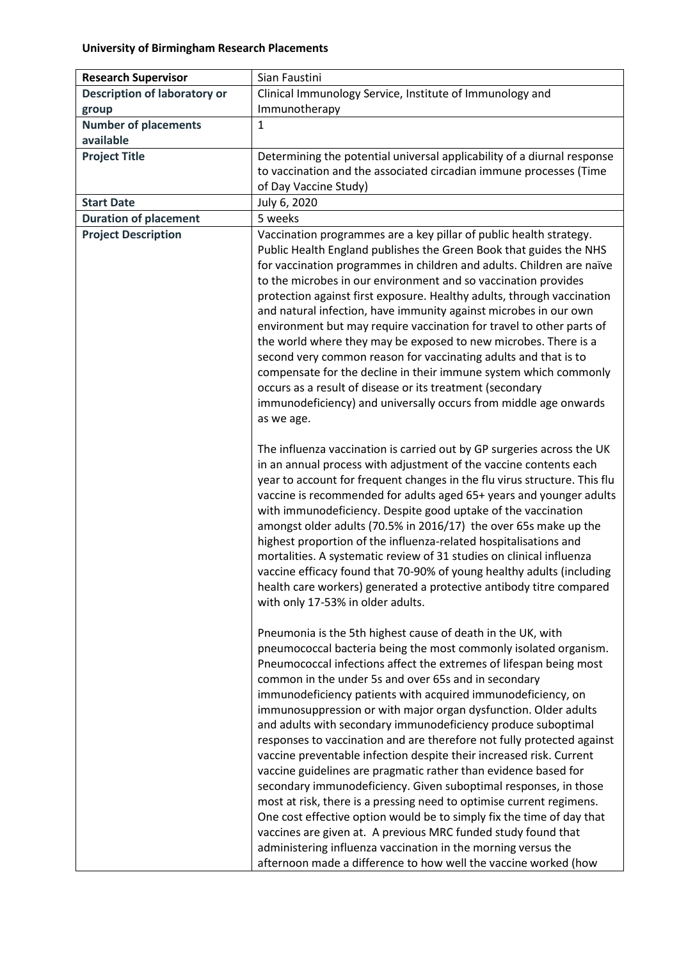| <b>Research Supervisor</b>                                 | Sian Faustini                                                                                                                                                                                                                                                                                                                                                                                                                                                                                                                                                                                                                                                                                                                                                                                                                                                                                                                                                                                                                                                                                                                                                                                                                                                                                                                                                                  |
|------------------------------------------------------------|--------------------------------------------------------------------------------------------------------------------------------------------------------------------------------------------------------------------------------------------------------------------------------------------------------------------------------------------------------------------------------------------------------------------------------------------------------------------------------------------------------------------------------------------------------------------------------------------------------------------------------------------------------------------------------------------------------------------------------------------------------------------------------------------------------------------------------------------------------------------------------------------------------------------------------------------------------------------------------------------------------------------------------------------------------------------------------------------------------------------------------------------------------------------------------------------------------------------------------------------------------------------------------------------------------------------------------------------------------------------------------|
| <b>Description of laboratory or</b>                        | Clinical Immunology Service, Institute of Immunology and                                                                                                                                                                                                                                                                                                                                                                                                                                                                                                                                                                                                                                                                                                                                                                                                                                                                                                                                                                                                                                                                                                                                                                                                                                                                                                                       |
| group                                                      | Immunotherapy                                                                                                                                                                                                                                                                                                                                                                                                                                                                                                                                                                                                                                                                                                                                                                                                                                                                                                                                                                                                                                                                                                                                                                                                                                                                                                                                                                  |
| <b>Number of placements</b>                                | $\mathbf{1}$                                                                                                                                                                                                                                                                                                                                                                                                                                                                                                                                                                                                                                                                                                                                                                                                                                                                                                                                                                                                                                                                                                                                                                                                                                                                                                                                                                   |
| available                                                  |                                                                                                                                                                                                                                                                                                                                                                                                                                                                                                                                                                                                                                                                                                                                                                                                                                                                                                                                                                                                                                                                                                                                                                                                                                                                                                                                                                                |
| <b>Project Title</b>                                       | Determining the potential universal applicability of a diurnal response                                                                                                                                                                                                                                                                                                                                                                                                                                                                                                                                                                                                                                                                                                                                                                                                                                                                                                                                                                                                                                                                                                                                                                                                                                                                                                        |
|                                                            | to vaccination and the associated circadian immune processes (Time                                                                                                                                                                                                                                                                                                                                                                                                                                                                                                                                                                                                                                                                                                                                                                                                                                                                                                                                                                                                                                                                                                                                                                                                                                                                                                             |
|                                                            | of Day Vaccine Study)                                                                                                                                                                                                                                                                                                                                                                                                                                                                                                                                                                                                                                                                                                                                                                                                                                                                                                                                                                                                                                                                                                                                                                                                                                                                                                                                                          |
| <b>Start Date</b>                                          | July 6, 2020                                                                                                                                                                                                                                                                                                                                                                                                                                                                                                                                                                                                                                                                                                                                                                                                                                                                                                                                                                                                                                                                                                                                                                                                                                                                                                                                                                   |
|                                                            | 5 weeks                                                                                                                                                                                                                                                                                                                                                                                                                                                                                                                                                                                                                                                                                                                                                                                                                                                                                                                                                                                                                                                                                                                                                                                                                                                                                                                                                                        |
| <b>Duration of placement</b><br><b>Project Description</b> | Vaccination programmes are a key pillar of public health strategy.<br>Public Health England publishes the Green Book that guides the NHS<br>for vaccination programmes in children and adults. Children are naïve<br>to the microbes in our environment and so vaccination provides<br>protection against first exposure. Healthy adults, through vaccination<br>and natural infection, have immunity against microbes in our own<br>environment but may require vaccination for travel to other parts of<br>the world where they may be exposed to new microbes. There is a<br>second very common reason for vaccinating adults and that is to<br>compensate for the decline in their immune system which commonly<br>occurs as a result of disease or its treatment (secondary<br>immunodeficiency) and universally occurs from middle age onwards<br>as we age.<br>The influenza vaccination is carried out by GP surgeries across the UK<br>in an annual process with adjustment of the vaccine contents each<br>year to account for frequent changes in the flu virus structure. This flu<br>vaccine is recommended for adults aged 65+ years and younger adults<br>with immunodeficiency. Despite good uptake of the vaccination<br>amongst older adults (70.5% in 2016/17) the over 65s make up the<br>highest proportion of the influenza-related hospitalisations and |
|                                                            | mortalities. A systematic review of 31 studies on clinical influenza<br>vaccine efficacy found that 70-90% of young healthy adults (including<br>health care workers) generated a protective antibody titre compared<br>with only 17-53% in older adults.<br>Pneumonia is the 5th highest cause of death in the UK, with<br>pneumococcal bacteria being the most commonly isolated organism.<br>Pneumococcal infections affect the extremes of lifespan being most<br>common in the under 5s and over 65s and in secondary<br>immunodeficiency patients with acquired immunodeficiency, on<br>immunosuppression or with major organ dysfunction. Older adults<br>and adults with secondary immunodeficiency produce suboptimal<br>responses to vaccination and are therefore not fully protected against<br>vaccine preventable infection despite their increased risk. Current<br>vaccine guidelines are pragmatic rather than evidence based for<br>secondary immunodeficiency. Given suboptimal responses, in those<br>most at risk, there is a pressing need to optimise current regimens.<br>One cost effective option would be to simply fix the time of day that<br>vaccines are given at. A previous MRC funded study found that<br>administering influenza vaccination in the morning versus the<br>afternoon made a difference to how well the vaccine worked (how   |